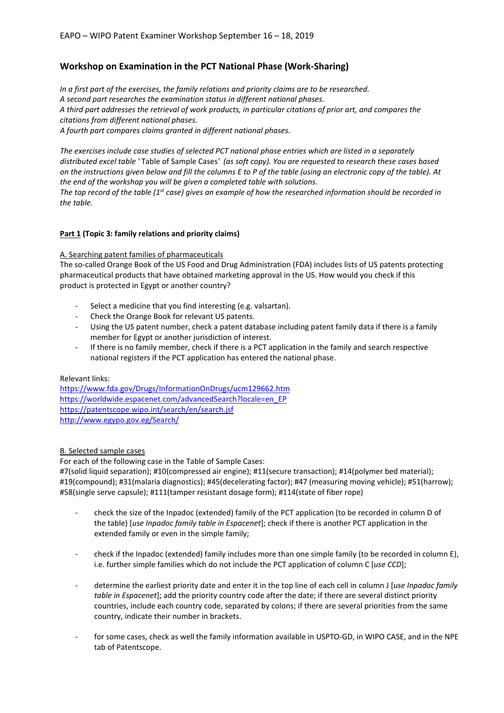## **Workshop on Examination in the PCT National Phase (Work-Sharing)**

*In a first part of the exercises, the family relations and priority claims are to be researched. A second part researches the examination status in different national phases. A third part addresses the retrieval of work products, in particular citations of prior art, and compares the citations from different national phases. A fourth part compares claims granted in different national phases.*

*The exercises include case studies of selected PCT national phase entries which are listed in a separately distributed excel table '* Table of Sample Cases*' (as soft copy). You are requested to research these cases based on the instructions given below and fill the columns E to P of the table (using an electronic copy of the table). At the end of the workshop you will be given a completed table with solutions. The top record of the table (1st case) gives an example of how the researched information should be recorded in* 

# **Part 1 (Topic 3: family relations and priority claims)**

### A. Searching patent families of pharmaceuticals

The so-called Orange Book of the US Food and Drug Administration (FDA) includes lists of US patents protecting pharmaceutical products that have obtained marketing approval in the US. How would you check if this product is protected in Egypt or another country?

- Select a medicine that you find interesting (e.g. valsartan).
- Check the Orange Book for relevant US patents.
- Using the US patent number, check a patent database including patent family data if there is a family member for Egypt or another jurisdiction of interest.
- If there is no family member, check if there is a PCT application in the family and search respective national registers if the PCT application has entered the national phase.

### Relevant links:

*the table.*

<https://www.fda.gov/Drugs/InformationOnDrugs/ucm129662.htm> [https://worldwide.espacenet.com/advancedSearch?locale=en\\_EP](https://worldwide.espacenet.com/advancedSearch?locale=en_EP) <https://patentscope.wipo.int/search/en/search.jsf> <http://www.egypo.gov.eg/Search/>

### B. Selected sample cases

For each of the following case in the Table of Sample Cases:

#7(solid liquid separation); #10(compressed air engine); #11(secure transaction); #14(polymer bed material); #19(compound); #31(malaria diagnostics); #45(decelerating factor); #47 (measuring moving vehicle); #51(harrow); #58(single serve capsule); #111(tamper resistant dosage form); #114(state of fiber rope)

- check the size of the Inpadoc (extended) family of the PCT application (to be recorded in column D of the table) [*use Inpadoc family table in Espacenet*]; check if there is another PCT application in the extended family or even in the simple family;
- check if the Inpadoc (extended) family includes more than one simple family (to be recorded in column E), i.e. further simple families which do not include the PCT application of column C [*use CCD*];
- determine the earliest priority date and enter it in the top line of each cell in column J [*use Inpadoc family table in Espacenet*]; add the priority country code after the date; if there are several distinct priority countries, include each country code, separated by colons; if there are several priorities from the same country, indicate their number in brackets.
- for some cases, check as well the family information available in USPTO-GD, in WIPO CASE, and in the NPE tab of Patentscope.